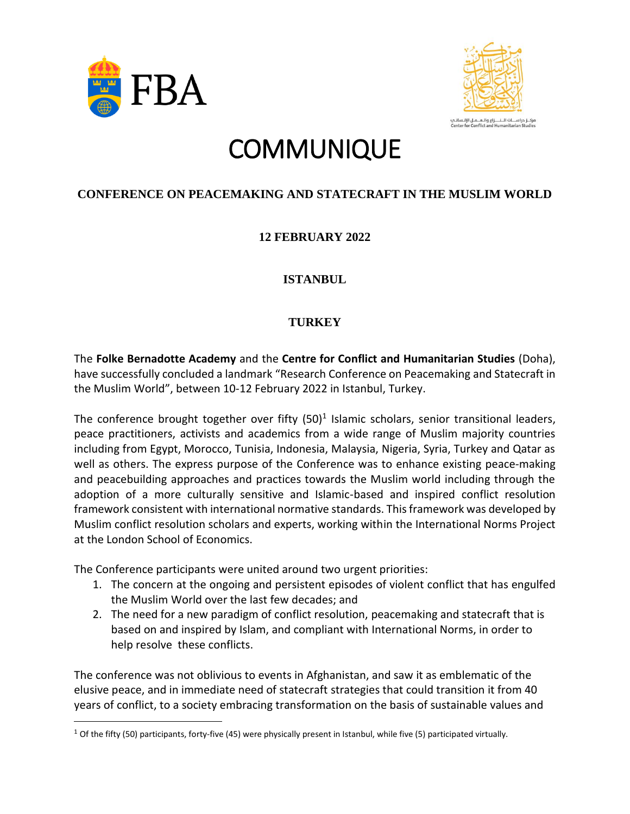



# **COMMUNIQUE**

#### **CONFERENCE ON PEACEMAKING AND STATECRAFT IN THE MUSLIM WORLD**

## **12 FEBRUARY 2022**

#### **ISTANBUL**

### **TURKEY**

The **Folke Bernadotte Academy** and the **Centre for Conflict and Humanitarian Studies** (Doha), have successfully concluded a landmark "Research Conference on Peacemaking and Statecraft in the Muslim World", between 10-12 February 2022 in Istanbul, Turkey.

The conference brought together over fifty  $(50)^1$  Islamic scholars, senior transitional leaders, peace practitioners, activists and academics from a wide range of Muslim majority countries including from Egypt, Morocco, Tunisia, Indonesia, Malaysia, Nigeria, Syria, Turkey and Qatar as well as others. The express purpose of the Conference was to enhance existing peace-making and peacebuilding approaches and practices towards the Muslim world including through the adoption of a more culturally sensitive and Islamic-based and inspired conflict resolution framework consistent with international normative standards. This framework was developed by Muslim conflict resolution scholars and experts, working within the International Norms Project at the London School of Economics.

The Conference participants were united around two urgent priorities:

- 1. The concern at the ongoing and persistent episodes of violent conflict that has engulfed the Muslim World over the last few decades; and
- 2. The need for a new paradigm of conflict resolution, peacemaking and statecraft that is based on and inspired by Islam, and compliant with International Norms, in order to help resolve these conflicts.

The conference was not oblivious to events in Afghanistan, and saw it as emblematic of the elusive peace, and in immediate need of statecraft strategies that could transition it from 40 years of conflict, to a society embracing transformation on the basis of sustainable values and

 $1$  Of the fifty (50) participants, forty-five (45) were physically present in Istanbul, while five (5) participated virtually.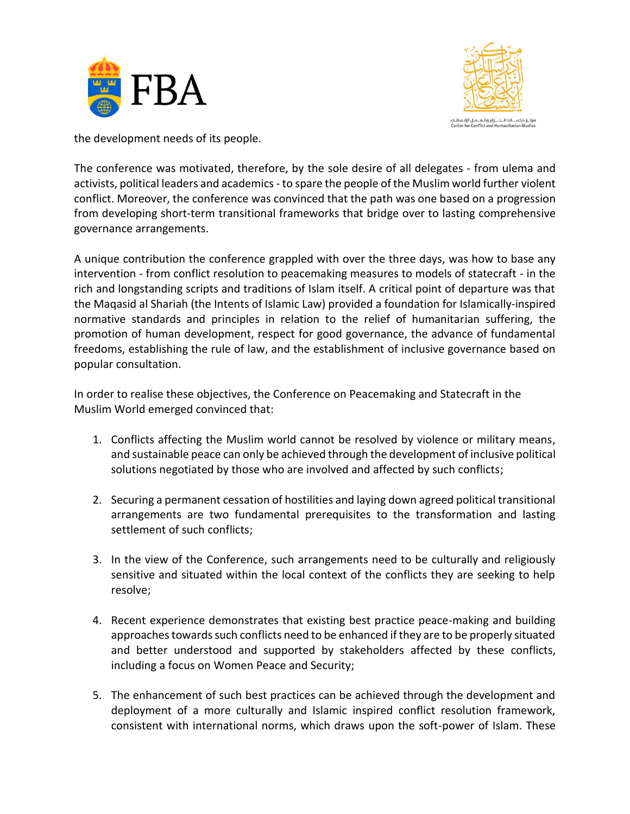



the development needs of its people.

The conference was motivated, therefore, by the sole desire of all delegates - from ulema and activists, political leaders and academics- to spare the people of the Muslim world further violent conflict. Moreover, the conference was convinced that the path was one based on a progression from developing short-term transitional frameworks that bridge over to lasting comprehensive governance arrangements.

A unique contribution the conference grappled with over the three days, was how to base any intervention - from conflict resolution to peacemaking measures to models of statecraft - in the rich and longstanding scripts and traditions of Islam itself. A critical point of departure was that the Maqasid al Shariah (the Intents of Islamic Law) provided a foundation for Islamically-inspired normative standards and principles in relation to the relief of humanitarian suffering, the promotion of human development, respect for good governance, the advance of fundamental freedoms, establishing the rule of law, and the establishment of inclusive governance based on popular consultation.

In order to realise these objectives, the Conference on Peacemaking and Statecraft in the Muslim World emerged convinced that:

- 1. Conflicts affecting the Muslim world cannot be resolved by violence or military means, and sustainable peace can only be achieved through the development of inclusive political solutions negotiated by those who are involved and affected by such conflicts;
- 2. Securing a permanent cessation of hostilities and laying down agreed political transitional arrangements are two fundamental prerequisites to the transformation and lasting settlement of such conflicts;
- 3. In the view of the Conference, such arrangements need to be culturally and religiously sensitive and situated within the local context of the conflicts they are seeking to help resolve;
- 4. Recent experience demonstrates that existing best practice peace-making and building approaches towards such conflicts need to be enhanced if they are to be properly situated and better understood and supported by stakeholders affected by these conflicts, including a focus on Women Peace and Security;
- 5. The enhancement of such best practices can be achieved through the development and deployment of a more culturally and Islamic inspired conflict resolution framework, consistent with international norms, which draws upon the soft-power of Islam. These